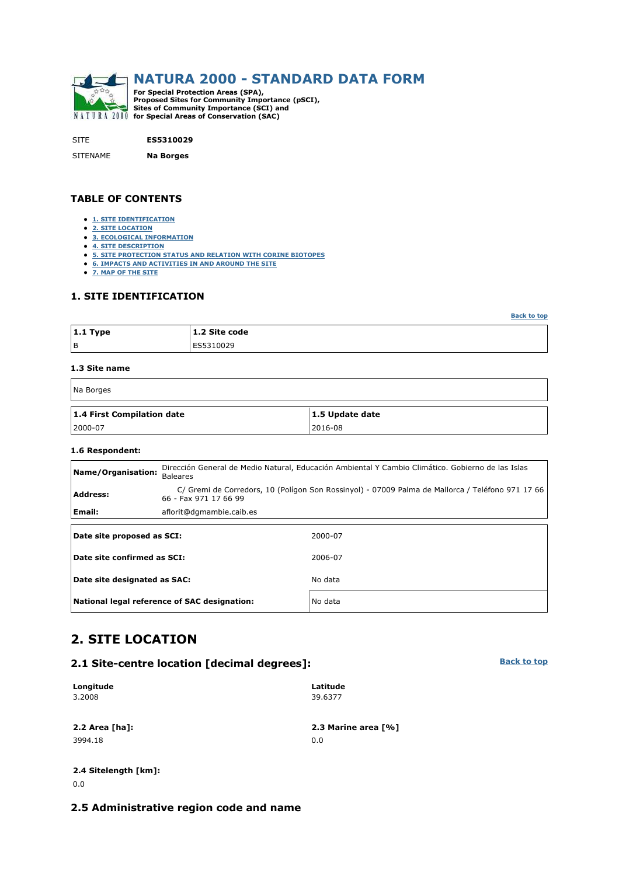

SITE **ES5310029**

SITENAME **Na Borges**

#### **TABLE OF CONTENTS**

- **1. SITE IDENTIFICATION**
- **2. SITE LOCATION**
- **3. ECOLOGICAL INFORMATION**
- **4. SITE DESCRIPTION**
- **5. SITE PROTECTION STATUS AND RELATION WITH CORINE BIOTOPES**
- **6. IMPACTS AND ACTIVITIES IN AND AROUND THE SITE**
- **7. MAP OF THE SITE**

#### **1. SITE IDENTIFICATION**

| $ 1.1$ Type | 1.2 Site code |
|-------------|---------------|
| l B         | ES5310029     |

#### **1.3 Site name**

| Na Borges                  |                 |  |  |  |  |
|----------------------------|-----------------|--|--|--|--|
| 1.4 First Compilation date | 1.5 Update date |  |  |  |  |
| $ 2000-07$                 | 2016-08         |  |  |  |  |

#### **1.6 Respondent:**

| Name/Organisation:           | Dirección General de Medio Natural, Educación Ambiental Y Cambio Climático. Gobierno de las Islas<br><b>Baleares</b> |                                                                                                  |  |  |  |  |  |
|------------------------------|----------------------------------------------------------------------------------------------------------------------|--------------------------------------------------------------------------------------------------|--|--|--|--|--|
| <b>Address:</b>              | 66 - Fax 971 17 66 99                                                                                                | C/ Gremi de Corredors, 10 (Polígon Son Rossinyol) - 07009 Palma de Mallorca / Teléfono 971 17 66 |  |  |  |  |  |
| Email:                       | aflorit@dgmambie.caib.es                                                                                             |                                                                                                  |  |  |  |  |  |
| Date site proposed as SCI:   |                                                                                                                      | 2000-07                                                                                          |  |  |  |  |  |
| Date site confirmed as SCI:  |                                                                                                                      | 2006-07                                                                                          |  |  |  |  |  |
| Date site designated as SAC: |                                                                                                                      | No data                                                                                          |  |  |  |  |  |
|                              | National legal reference of SAC designation:                                                                         | No data                                                                                          |  |  |  |  |  |

### **2. SITE LOCATION**

#### **2.1 Site-centre location [decimal degrees]:**

| Longitude        | Latitude            |
|------------------|---------------------|
| 3.2008           | 39.6377             |
|                  |                     |
| 2.2 Area $[ha]:$ | 2.3 Marine area [%] |
| 3994.18          | 0.0                 |
|                  |                     |

# **2.4 Sitelength [km]:**

0.0

### **2.5 Administrative region code and name**

**Back to top**

**Back to top**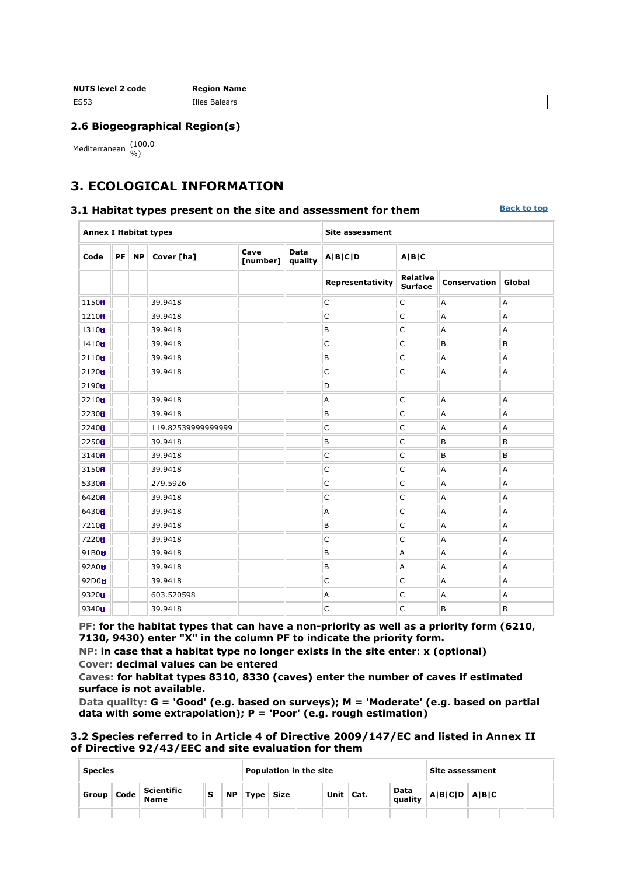| <b>NUTS level 2 code</b> | <b>Region Name</b> |
|--------------------------|--------------------|
| <b>ES53</b>              | Illes Balears      |

#### **2.6 Biogeographical Region(s)**

Mediterranean (100.0

## **3. ECOLOGICAL INFORMATION**

#### **3.1 Habitat types present on the site and assessment for them**

**Back to top**

| <b>Annex I Habitat types</b> |    |           |                    |                  | <b>Site assessment</b> |                  |                                   |                     |        |
|------------------------------|----|-----------|--------------------|------------------|------------------------|------------------|-----------------------------------|---------------------|--------|
| Code                         | PF | <b>NP</b> | Cover [ha]         | Cave<br>[number] | <b>Data</b><br>quality | A B C D          | A B C                             |                     |        |
|                              |    |           |                    |                  |                        | Representativity | <b>Relative</b><br><b>Surface</b> | <b>Conservation</b> | Global |
| 1150 <sub>0</sub>            |    |           | 39.9418            |                  |                        | $\mathsf{C}$     | $\mathsf{C}$                      | А                   | Α      |
| 1210 <sub>0</sub>            |    |           | 39.9418            |                  |                        | C                | $\mathsf C$                       | А                   | A      |
| 1310 <sub>0</sub>            |    |           | 39.9418            |                  |                        | B                | $\mathsf C$                       | Α                   | A      |
| 1410H                        |    |           | 39.9418            |                  |                        | C                | $\mathsf{C}$                      | B                   | B      |
| 2110 <sub>0</sub>            |    |           | 39.9418            |                  |                        | B                | $\mathsf C$                       | А                   | A      |
| 2120 <sub>0</sub>            |    |           | 39.9418            |                  |                        | $\mathsf{C}$     | $\mathsf{C}$                      | A                   | Α      |
| 2190 <sub>0</sub>            |    |           |                    |                  |                        | D                |                                   |                     |        |
| 2210 <sub>0</sub>            |    |           | 39.9418            |                  |                        | А                | $\mathsf{C}$                      | А                   | A      |
| 2230H                        |    |           | 39.9418            |                  |                        | B                | $\mathsf C$                       | А                   | A      |
| 2240H                        |    |           | 119.82539999999999 |                  |                        | $\mathsf C$      | $\mathsf C$                       | А                   | Α      |
| 2250 <sub>0</sub>            |    |           | 39.9418            |                  |                        | B                | $\mathsf C$                       | B                   | B      |
| 3140 <sub>0</sub>            |    |           | 39.9418            |                  |                        | $\mathsf{C}$     | $\mathsf C$                       | B                   | B      |
| 3150 <sub>0</sub>            |    |           | 39.9418            |                  |                        | $\mathsf C$      | $\mathsf C$                       | А                   | A      |
| 5330 <sub>0</sub>            |    |           | 279.5926           |                  |                        | $\mathsf C$      | C                                 | Α                   | Α      |
| 6420H                        |    |           | 39.9418            |                  |                        | C                | $\mathsf C$                       | А                   | Α      |
| 6430H                        |    |           | 39.9418            |                  |                        | А                | $\mathsf C$                       | А                   | A      |
| 7210 <sub>0</sub>            |    |           | 39.9418            |                  |                        | B                | $\mathsf C$                       | А                   | Α      |
| 7220 <sub>8</sub>            |    |           | 39.9418            |                  |                        | C                | $\mathsf C$                       | А                   | A      |
| 91B0H                        |    |           | 39.9418            |                  |                        | B                | А                                 | А                   | A      |
| 92A0 <sub>B</sub>            |    |           | 39.9418            |                  |                        | B                | Α                                 | А                   | Α      |
| 92D0H                        |    |           | 39.9418            |                  |                        | $\mathsf{C}$     | $\mathsf C$                       | А                   | A      |
| 9320 <sub>0</sub>            |    |           | 603.520598         |                  |                        | Α                | $\mathsf C$                       | Α                   | Α      |
| 9340 <sub>8</sub>            |    |           | 39.9418            |                  |                        | C                | $\mathsf C$                       | B                   | B      |

**PF: for the habitat types that can have a non-priority as well as a priority form (6210, 7130, 9430) enter "X" in the column PF to indicate the priority form.** 

**NP: in case that a habitat type no longer exists in the site enter: x (optional) Cover: decimal values can be entered** 

**Caves: for habitat types 8310, 8330 (caves) enter the number of caves if estimated surface is not available.** 

**Data quality: G = 'Good' (e.g. based on surveys); M = 'Moderate' (e.g. based on partial data with some extrapolation); P = 'Poor' (e.g. rough estimation)** 

| 3.2 Species referred to in Article 4 of Directive 2009/147/EC and listed in Annex II |  |
|--------------------------------------------------------------------------------------|--|
| of Directive 92/43/EEC and site evaluation for them                                  |  |

|       | <b>Species</b>                       |                                  |  |           | <b>Population in the site</b> |                |  |                   |  | Site assessment |                                   |  |
|-------|--------------------------------------|----------------------------------|--|-----------|-------------------------------|----------------|--|-------------------|--|-----------------|-----------------------------------|--|
| Group | $\cdot$ $\parallel$ Code $\parallel$ | <b>Scientific</b><br><b>Name</b> |  | <b>NP</b> |                               | $Type \,$ Size |  | Unit $\vert$ Cat. |  |                 | Data<br>quality $A B C D$ $A B C$ |  |
|       |                                      |                                  |  |           |                               |                |  |                   |  |                 |                                   |  |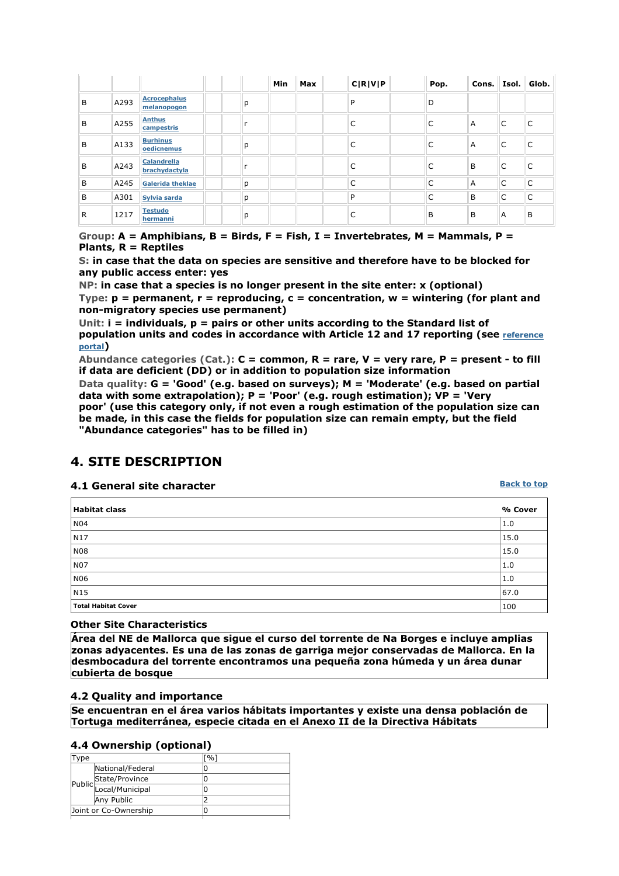|   |      |                                    |   | Min | Max | C R V P | Pop. | Cons. |   | Isol. Glob. |
|---|------|------------------------------------|---|-----|-----|---------|------|-------|---|-------------|
| B | A293 | <b>Acrocephalus</b><br>melanopogon | р |     |     | P       | D    |       |   |             |
| B | A255 | <b>Anthus</b><br>campestris        |   |     |     | C       |      | A     | C |             |
| B | A133 | <b>Burhinus</b><br>oedicnemus      | р |     |     |         |      | A     | C |             |
| B | A243 | Calandrella<br>brachydactyla       |   |     |     | C       |      | B     | C |             |
| B | A245 | <b>Galerida theklae</b>            | p |     |     | C       | C    | A     | C | C           |
| B | A301 | Sylvia sarda                       | р |     |     | P       | C    | B     | C | C           |
| R | 1217 | <b>Testudo</b><br>hermanni         | р |     |     | C       | B    | B     | A | B           |

**Group: A = Amphibians, B = Birds, F = Fish, I = Invertebrates, M = Mammals, P = Plants, R = Reptiles** 

**S: in case that the data on species are sensitive and therefore have to be blocked for any public access enter: yes** 

**NP: in case that a species is no longer present in the site enter: x (optional)** 

**Type: p = permanent, r = reproducing, c = concentration, w = wintering (for plant and non-migratory species use permanent)** 

**Unit: i = individuals, p = pairs or other units according to the Standard list of population units and codes in accordance with Article 12 and 17 reporting (see reference portal)** 

**Abundance categories (Cat.): C = common, R = rare, V = very rare, P = present - to fill if data are deficient (DD) or in addition to population size information** 

**Data quality: G = 'Good' (e.g. based on surveys); M = 'Moderate' (e.g. based on partial data with some extrapolation); P = 'Poor' (e.g. rough estimation); VP = 'Very** 

**poor' (use this category only, if not even a rough estimation of the population size can be made, in this case the fields for population size can remain empty, but the field "Abundance categories" has to be filled in)** 

### **4. SITE DESCRIPTION**

#### **4.1 General site character**

**Back to top**

| <b>Habitat class</b>       | % Cover |
|----------------------------|---------|
| N <sub>04</sub>            | 1.0     |
| N17                        | 15.0    |
| <b>N08</b>                 | 15.0    |
| <b>N07</b>                 | 1.0     |
| <b>N06</b>                 | 1.0     |
| N <sub>15</sub>            | 67.0    |
| <b>Total Habitat Cover</b> | 100     |

#### **Other Site Characteristics**

**Área del NE de Mallorca que sigue el curso del torrente de Na Borges e incluye amplias zonas adyacentes. Es una de las zonas de garriga mejor conservadas de Mallorca. En la desmbocadura del torrente encontramos una pequeña zona húmeda y un área dunar cubierta de bosque**

#### **4.2 Quality and importance**

**Se encuentran en el área varios hábitats importantes y existe una densa población de Tortuga mediterránea, especie citada en el Anexo II de la Directiva Hábitats**

#### **4.4 Ownership (optional)**

| vpe |                        | ™°⁄∩ |
|-----|------------------------|------|
|     | National/Federal       |      |
|     | State/Province         |      |
|     | Public Local/Municipal |      |
|     | Any Public             |      |
|     | Joint or Co-Ownership  |      |
|     |                        |      |